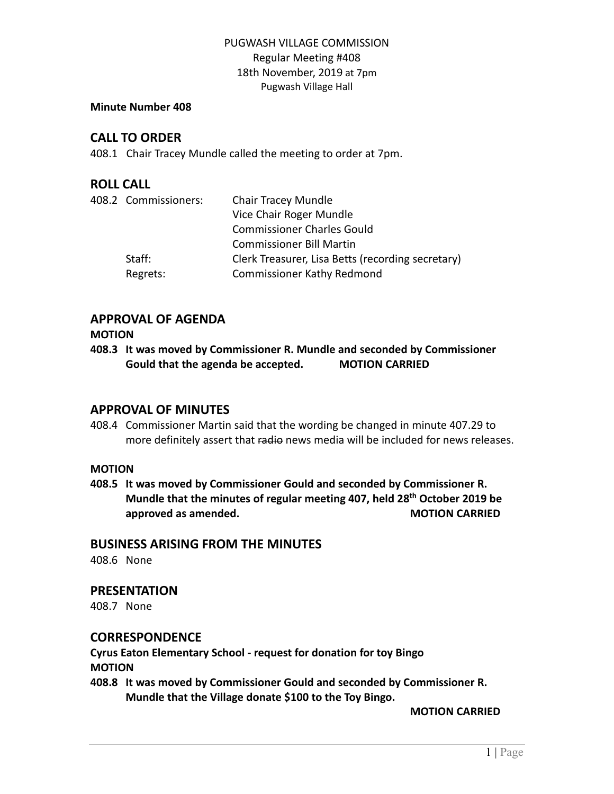# PUGWASH VILLAGE COMMISSION Regular Meeting #408 18th November, 2019 at 7pm Pugwash Village Hall

#### **Minute Number 408**

# **CALL TO ORDER**

408.1 Chair Tracey Mundle called the meeting to order at 7pm.

# **ROLL CALL**

| 408.2 Commissioners: | <b>Chair Tracey Mundle</b>                        |
|----------------------|---------------------------------------------------|
|                      | Vice Chair Roger Mundle                           |
|                      | <b>Commissioner Charles Gould</b>                 |
|                      | <b>Commissioner Bill Martin</b>                   |
| Staff:               | Clerk Treasurer, Lisa Betts (recording secretary) |
| Regrets:             | <b>Commissioner Kathy Redmond</b>                 |
|                      |                                                   |

# **APPROVAL OF AGENDA**

### **MOTION**

**408.3 It was moved by Commissioner R. Mundle and seconded by Commissioner Gould that the agenda be accepted. MOTION CARRIED**

# **APPROVAL OF MINUTES**

408.4 Commissioner Martin said that the wording be changed in minute 407.29 to more definitely assert that radio news media will be included for news releases.

### **MOTION**

**408.5 It was moved by Commissioner Gould and seconded by Commissioner R. Mundle that the minutes of regular meeting 407, held 28th October 2019 be approved** as amended. **MOTION CARRIED** 

## **BUSINESS ARISING FROM THE MINUTES**

408.6 None

## **PRESENTATION**

408.7 None

## **CORRESPONDENCE**

**Cyrus Eaton Elementary School - request for donation for toy Bingo MOTION**

**408.8 It was moved by Commissioner Gould and seconded by Commissioner R. Mundle that the Village donate \$100 to the Toy Bingo.**

**MOTION CARRIED**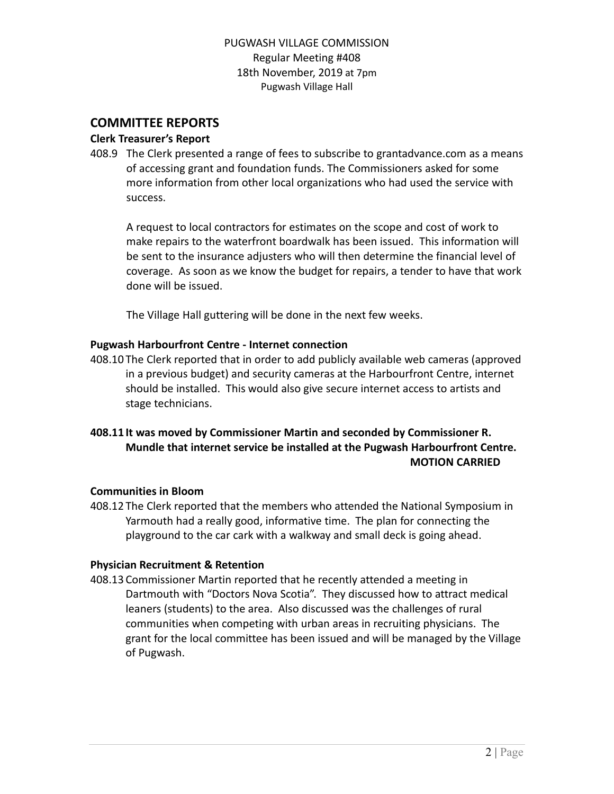# PUGWASH VILLAGE COMMISSION Regular Meeting #408 18th November, 2019 at 7pm Pugwash Village Hall

# **COMMITTEE REPORTS**

## **Clerk Treasurer's Report**

408.9 The Clerk presented a range of fees to subscribe to grantadvance.com as a means of accessing grant and foundation funds. The Commissioners asked for some more information from other local organizations who had used the service with success.

A request to local contractors for estimates on the scope and cost of work to make repairs to the waterfront boardwalk has been issued. This information will be sent to the insurance adjusters who will then determine the financial level of coverage. As soon as we know the budget for repairs, a tender to have that work done will be issued.

The Village Hall guttering will be done in the next few weeks.

# **Pugwash Harbourfront Centre - Internet connection**

408.10 The Clerk reported that in order to add publicly available web cameras (approved in a previous budget) and security cameras at the Harbourfront Centre, internet should be installed. This would also give secure internet access to artists and stage technicians.

# **408.11 It was moved by Commissioner Martin and seconded by Commissioner R. Mundle that internet service be installed at the Pugwash Harbourfront Centre. MOTION CARRIED**

## **Communities in Bloom**

408.12 The Clerk reported that the members who attended the National Symposium in Yarmouth had a really good, informative time. The plan for connecting the playground to the car cark with a walkway and small deck is going ahead.

## **Physician Recruitment & Retention**

408.13 Commissioner Martin reported that he recently attended a meeting in Dartmouth with "Doctors Nova Scotia". They discussed how to attract medical leaners (students) to the area. Also discussed was the challenges of rural communities when competing with urban areas in recruiting physicians. The grant for the local committee has been issued and will be managed by the Village of Pugwash.